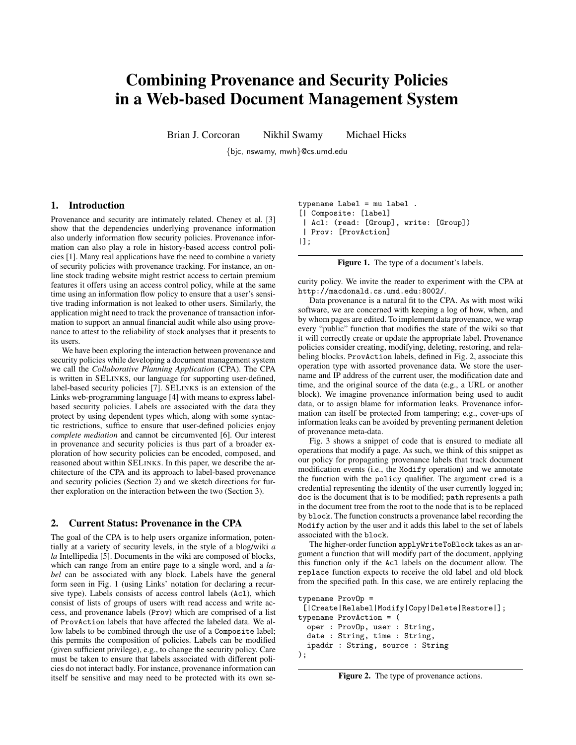# Combining Provenance and Security Policies in a Web-based Document Management System

Brian J. Corcoran Nikhil Swamy Michael Hicks

{bjc, nswamy, mwh}@cs.umd.edu

#### 1. Introduction

Provenance and security are intimately related. Cheney et al. [3] show that the dependencies underlying provenance information also underly information flow security policies. Provenance information can also play a role in history-based access control policies [1]. Many real applications have the need to combine a variety of security policies with provenance tracking. For instance, an online stock trading website might restrict access to certain premium features it offers using an access control policy, while at the same time using an information flow policy to ensure that a user's sensitive trading information is not leaked to other users. Similarly, the application might need to track the provenance of transaction information to support an annual financial audit while also using provenance to attest to the reliability of stock analyses that it presents to its users.

We have been exploring the interaction between provenance and security policies while developing a document management system we call the *Collaborative Planning Application* (CPA). The CPA is written in SELINKS, our language for supporting user-defined, label-based security policies [7]. SELINKS is an extension of the Links web-programming language [4] with means to express labelbased security policies. Labels are associated with the data they protect by using dependent types which, along with some syntactic restrictions, suffice to ensure that user-defined policies enjoy *complete mediation* and cannot be circumvented [6]. Our interest in provenance and security policies is thus part of a broader exploration of how security policies can be encoded, composed, and reasoned about within SELINKS. In this paper, we describe the architecture of the CPA and its approach to label-based provenance and security policies (Section 2) and we sketch directions for further exploration on the interaction between the two (Section 3).

#### 2. Current Status: Provenance in the CPA

The goal of the CPA is to help users organize information, potentially at a variety of security levels, in the style of a blog/wiki *a la* Intellipedia [5]. Documents in the wiki are composed of blocks, which can range from an entire page to a single word, and a *label* can be associated with any block. Labels have the general form seen in Fig. 1 (using Links' notation for declaring a recursive type). Labels consists of access control labels (Acl), which consist of lists of groups of users with read access and write access, and provenance labels (Prov) which are comprised of a list of ProvAction labels that have affected the labeled data. We allow labels to be combined through the use of a Composite label; this permits the composition of policies. Labels can be modified (given sufficient privilege), e.g., to change the security policy. Care must be taken to ensure that labels associated with different policies do not interact badly. For instance, provenance information can itself be sensitive and may need to be protected with its own se-

```
typename Label = mu label .
[| Composite: [label]
| Acl: (read: [Group], write: [Group])
| Prov: [ProvAction]
|];
```
Figure 1. The type of a document's labels.

curity policy. We invite the reader to experiment with the CPA at http://macdonald.cs.umd.edu:8002/.

Data provenance is a natural fit to the CPA. As with most wiki software, we are concerned with keeping a log of how, when, and by whom pages are edited. To implement data provenance, we wrap every "public" function that modifies the state of the wiki so that it will correctly create or update the appropriate label. Provenance policies consider creating, modifying, deleting, restoring, and relabeling blocks. ProvAction labels, defined in Fig. 2, associate this operation type with assorted provenance data. We store the username and IP address of the current user, the modification date and time, and the original source of the data (e.g., a URL or another block). We imagine provenance information being used to audit data, or to assign blame for information leaks. Provenance information can itself be protected from tampering; e.g., cover-ups of information leaks can be avoided by preventing permanent deletion of provenance meta-data.

Fig. 3 shows a snippet of code that is ensured to mediate all operations that modify a page. As such, we think of this snippet as our policy for propagating provenance labels that track document modification events (i.e., the Modify operation) and we annotate the function with the policy qualifier. The argument cred is a credential representing the identity of the user currently logged in; doc is the document that is to be modified; path represents a path in the document tree from the root to the node that is to be replaced by block. The function constructs a provenance label recording the Modify action by the user and it adds this label to the set of labels associated with the block.

The higher-order function applyWriteToBlock takes as an argument a function that will modify part of the document, applying this function only if the Acl labels on the document allow. The replace function expects to receive the old label and old block from the specified path. In this case, we are entirely replacing the

```
typename ProvOp =
 [|Create|Relabel|Modify|Copy|Delete|Restore|];
typename ProvAction = (
  oper : ProvOp, user : String,
  date : String, time : String,
  ipaddr : String, source : String
);
```
Figure 2. The type of provenance actions.